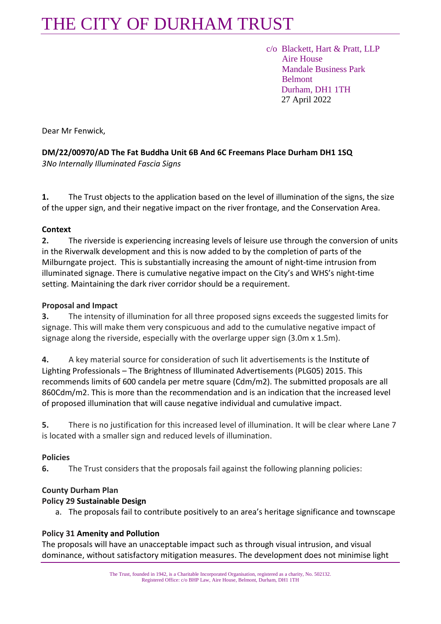# THE CITY OF DURHAM TRUST

 c/o Blackett, Hart & Pratt, LLP Aire House Mandale Business Park Belmont Durham, DH1 1TH 27 April 2022

Dear Mr Fenwick,

**DM/22/00970/AD The Fat Buddha Unit 6B And 6C Freemans Place Durham DH1 1SQ** *3No Internally Illuminated Fascia Signs* 

**1.** The Trust objects to the application based on the level of illumination of the signs, the size of the upper sign, and their negative impact on the river frontage, and the Conservation Area.

### **Context**

**2.** The riverside is experiencing increasing levels of leisure use through the conversion of units in the Riverwalk development and this is now added to by the completion of parts of the Milburngate project. This is substantially increasing the amount of night-time intrusion from illuminated signage. There is cumulative negative impact on the City's and WHS's night-time setting. Maintaining the dark river corridor should be a requirement.

### **Proposal and Impact**

**3.** The intensity of illumination for all three proposed signs exceeds the suggested limits for signage. This will make them very conspicuous and add to the cumulative negative impact of signage along the riverside, especially with the overlarge upper sign (3.0m x 1.5m).

**4.** A key material source for consideration of such lit advertisements is the Institute of Lighting Professionals – The Brightness of Illuminated Advertisements (PLG05) 2015. This recommends limits of 600 candela per metre square (Cdm/m2). The submitted proposals are all 860Cdm/m2. This is more than the recommendation and is an indication that the increased level of proposed illumination that will cause negative individual and cumulative impact.

**5.** There is no justification for this increased level of illumination. It will be clear where Lane 7 is located with a smaller sign and reduced levels of illumination.

## **Policies**

**6.** The Trust considers that the proposals fail against the following planning policies:

#### **County Durham Plan**

#### **Policy 29 Sustainable Design**

a. The proposals fail to contribute positively to an area's heritage significance and townscape

#### **Policy 31 Amenity and Pollution**

The proposals will have an unacceptable impact such as through visual intrusion, and visual dominance, without satisfactory mitigation measures. The development does not minimise light

> The Trust, founded in 1942, is a Charitable Incorporated Organisation, registered as a charity, No. 502132. Registered Office: c/o BHP Law, Aire House, Belmont, Durham, DH1 1TH